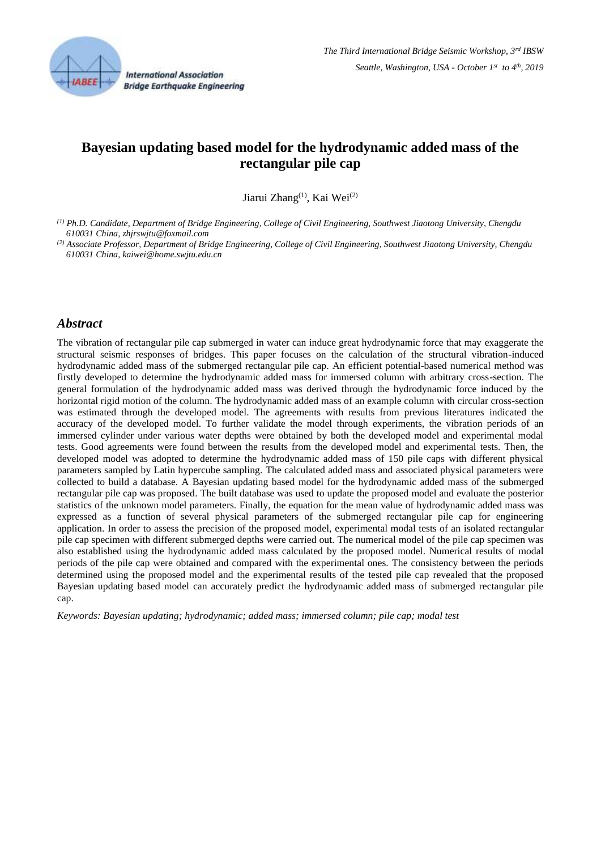

**International Association Bridge Earthquake Engineering** 

# **Bayesian updating based model for the hydrodynamic added mass of the rectangular pile cap**

Jiarui Zhang<sup>(1)</sup>, Kai Wei<sup>(2)</sup>

*(1) Ph.D. Candidate, Department of Bridge Engineering, College of Civil Engineering, Southwest Jiaotong University, Chengdu 610031 China, zhjrswjtu@foxmail.com*

*(2) Associate Professor, Department of Bridge Engineering, College of Civil Engineering, Southwest Jiaotong University, Chengdu 610031 China, kaiwei@home.swjtu.edu.cn*

## *Abstract*

The vibration of rectangular pile cap submerged in water can induce great hydrodynamic force that may exaggerate the structural seismic responses of bridges. This paper focuses on the calculation of the structural vibration-induced hydrodynamic added mass of the submerged rectangular pile cap. An efficient potential-based numerical method was firstly developed to determine the hydrodynamic added mass for immersed column with arbitrary cross-section. The general formulation of the hydrodynamic added mass was derived through the hydrodynamic force induced by the horizontal rigid motion of the column. The hydrodynamic added mass of an example column with circular cross-section was estimated through the developed model. The agreements with results from previous literatures indicated the accuracy of the developed model. To further validate the model through experiments, the vibration periods of an immersed cylinder under various water depths were obtained by both the developed model and experimental modal tests. Good agreements were found between the results from the developed model and experimental tests. Then, the developed model was adopted to determine the hydrodynamic added mass of 150 pile caps with different physical parameters sampled by Latin hypercube sampling. The calculated added mass and associated physical parameters were collected to build a database. A Bayesian updating based model for the hydrodynamic added mass of the submerged rectangular pile cap was proposed. The built database was used to update the proposed model and evaluate the posterior statistics of the unknown model parameters. Finally, the equation for the mean value of hydrodynamic added mass was expressed as a function of several physical parameters of the submerged rectangular pile cap for engineering application. In order to assess the precision of the proposed model, experimental modal tests of an isolated rectangular pile cap specimen with different submerged depths were carried out. The numerical model of the pile cap specimen was also established using the hydrodynamic added mass calculated by the proposed model. Numerical results of modal periods of the pile cap were obtained and compared with the experimental ones. The consistency between the periods determined using the proposed model and the experimental results of the tested pile cap revealed that the proposed Bayesian updating based model can accurately predict the hydrodynamic added mass of submerged rectangular pile cap.

*Keywords: Bayesian updating; hydrodynamic; added mass; immersed column; pile cap; modal test*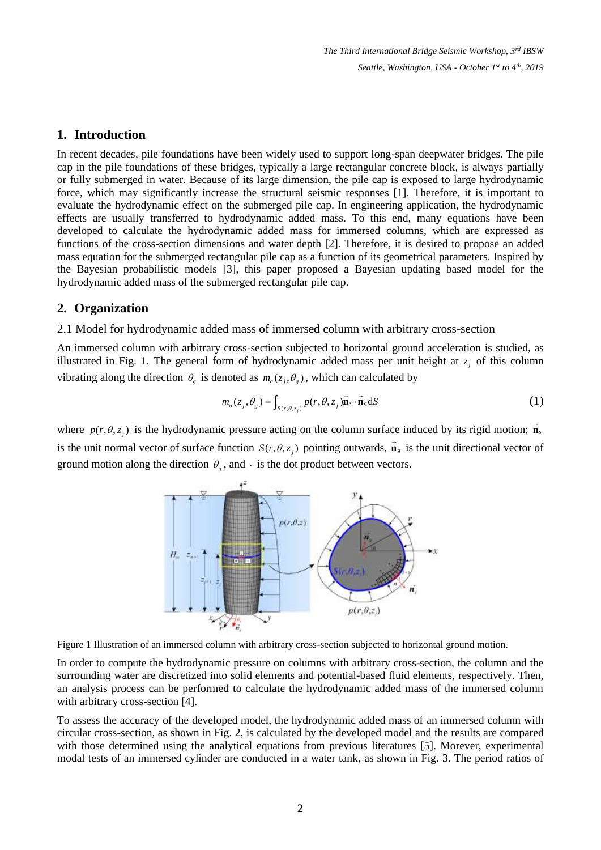## **1. Introduction**

In recent decades, pile foundations have been widely used to support long-span deepwater bridges. The pile cap in the pile foundations of these bridges, typically a large rectangular concrete block, is always partially or fully submerged in water. Because of its large dimension, the pile cap is exposed to large hydrodynamic force, which may significantly increase the structural seismic responses [1]. Therefore, it is important to evaluate the hydrodynamic effect on the submerged pile cap. In engineering application, the hydrodynamic effects are usually transferred to hydrodynamic added mass. To this end, many equations have been developed to calculate the hydrodynamic added mass for immersed columns, which are expressed as functions of the cross-section dimensions and water depth [2]. Therefore, it is desired to propose an added mass equation for the submerged rectangular pile cap as a function of its geometrical parameters. Inspired by the Bayesian probabilistic models [3], this paper proposed a Bayesian updating based model for the hydrodynamic added mass of the submerged rectangular pile cap.

## **2. Organization**

#### 2.1 Model for hydrodynamic added mass of immersed column with arbitrary cross-section

An immersed column with arbitrary cross-section subjected to horizontal ground acceleration is studied, as illustrated in Fig. 1. The general form of hydrodynamic added mass per unit height at  $z_j$  of this column vibrating along the direction  $\theta_g$  is denoted as  $m_a(z_j, \theta_g)$ , which can calculated by

$$
m_a(z_j, \theta_g) = \int_{S(r, \theta, z_j)} p(r, \theta, z_j) \vec{\mathbf{n}}_s \cdot \vec{\mathbf{n}}_g \, dS \tag{1}
$$

where  $p(r, \theta, z_j)$  is the hydrodynamic pressure acting on the column surface induced by its rigid motion; **n**<sub>*s*</sub> is the unit normal vector of surface function  $S(r, \theta, z_j)$  pointing outwards,  $\mathbf{n}_s$  is the unit directional vector of ground motion along the direction  $\theta_g$ , and  $\cdot$  is the dot product between vectors.



Figure 1 Illustration of an immersed column with arbitrary cross-section subjected to horizontal ground motion.

In order to compute the hydrodynamic pressure on columns with arbitrary cross-section, the column and the surrounding water are discretized into solid elements and potential-based fluid elements, respectively. Then, an analysis process can be performed to calculate the hydrodynamic added mass of the immersed column with arbitrary cross-section [4].

To assess the accuracy of the developed model, the hydrodynamic added mass of an immersed column with circular cross-section, as shown in Fig. 2, is calculated by the developed model and the results are compared with those determined using the analytical equations from previous literatures [5]. Morever, experimental modal tests of an immersed cylinder are conducted in a water tank, as shown in Fig. 3. The period ratios of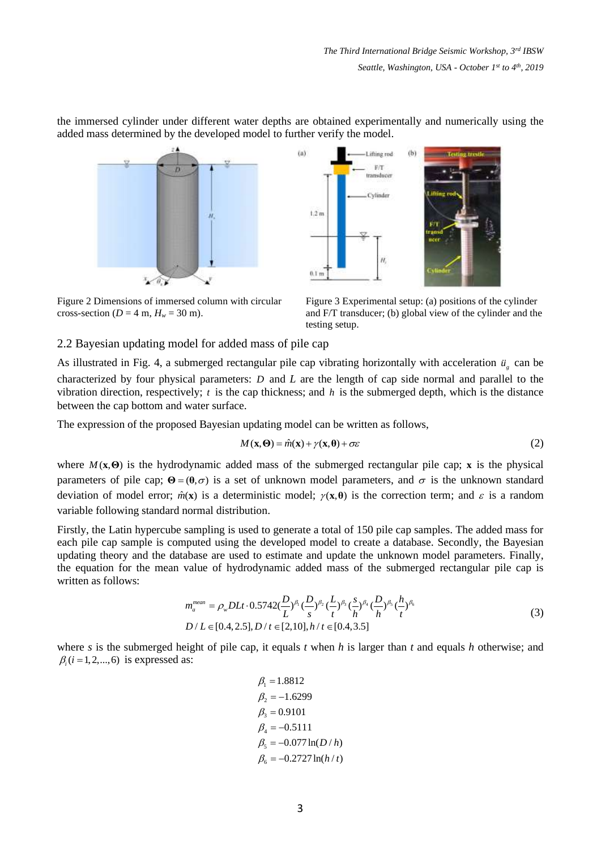the immersed cylinder under different water depths are obtained experimentally and numerically using the added mass determined by the developed model to further verify the model.





Figure 2 Dimensions of immersed column with circular cross-section ( $D = 4$  m,  $H_w = 30$  m).

Figure 3 Experimental setup: (a) positions of the cylinder and F/T transducer; (b) global view of the cylinder and the testing setup.

#### 2.2 Bayesian updating model for added mass of pile cap

As illustrated in Fig. 4, a submerged rectangular pile cap vibrating horizontally with acceleration  $\ddot{u}_g$  can be characterized by four physical parameters: *D* and *L* are the length of cap side normal and parallel to the vibration direction, respectively;  $t$  is the cap thickness; and  $h$  is the submerged depth, which is the distance between the cap bottom and water surface.

The expression of the proposed Bayesian updating model can be written as follows,

$$
M(\mathbf{x}, \mathbf{\Theta}) = \hat{m}(\mathbf{x}) + \gamma(\mathbf{x}, \mathbf{\Theta}) + \sigma \varepsilon
$$
 (2)

where  $M(x, \Theta)$  is the hydrodynamic added mass of the submerged rectangular pile cap; x is the physical parameters of pile cap;  $\Theta = (\theta, \sigma)$  is a set of unknown model parameters, and  $\sigma$  is the unknown standard deviation of model error;  $\hat{m}(x)$  is a deterministic model;  $\gamma(x, \theta)$  is the correction term; and  $\varepsilon$  is a random variable following standard normal distribution.

Firstly, the Latin hypercube sampling is used to generate a total of 150 pile cap samples. The added mass for each pile cap sample is computed using the developed model to create a database. Secondly, the Bayesian updating theory and the database are used to estimate and update the unknown model parameters. Finally, the equation for the mean value of hydrodynamic added mass of the submerged rectangular pile cap is written as follows:

$$
m_a^{mean} = \rho_w DL t \cdot 0.5742 \left(\frac{D}{L}\right)^{\beta_1} \left(\frac{D}{s}\right)^{\beta_2} \left(\frac{L}{t}\right)^{\beta_3} \left(\frac{s}{h}\right)^{\beta_4} \left(\frac{D}{h}\right)^{\beta_5} \left(\frac{h}{t}\right)^{\beta_6}
$$
  
\n
$$
D/L \in [0.4, 2.5], D/t \in [2, 10], h/t \in [0.4, 3.5]
$$
\n(3)

where *s* is the submerged height of pile cap, it equals *t* when *h* is larger than *t* and equals *h* otherwise; and  $\beta_i$  (*i* = 1, 2, ..., 6) is expressed as:

$$
\beta_1 = 1.8812
$$
  
\n
$$
\beta_2 = -1.6299
$$
  
\n
$$
\beta_3 = 0.9101
$$
  
\n
$$
\beta_4 = -0.5111
$$
  
\n
$$
\beta_5 = -0.077 \ln(D/h)
$$
  
\n
$$
\beta_6 = -0.2727 \ln(h/t)
$$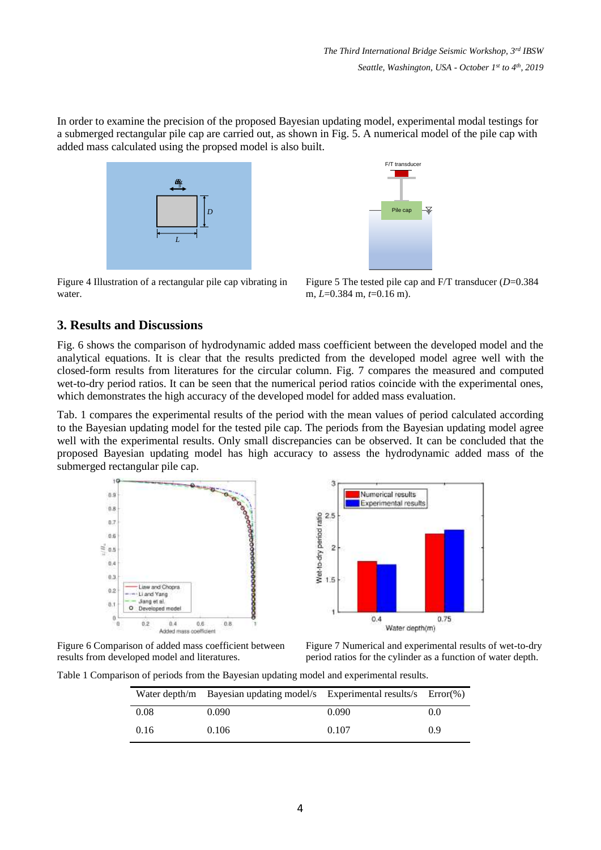In order to examine the precision of the proposed Bayesian updating model, experimental modal testings for a submerged rectangular pile cap are carried out, as shown in Fig. 5. A numerical model of the pile cap with added mass calculated using the propsed model is also built.



Figure 4 Illustration of a rectangular pile cap vibrating in water.



Figure 5 The tested pile cap and F/T transducer (*D*=0.384 m, *L*=0.384 m, *t*=0.16 m).

# **3. Results and Discussions**

Fig. 6 shows the comparison of hydrodynamic added mass coefficient between the developed model and the analytical equations. It is clear that the results predicted from the developed model agree well with the closed-form results from literatures for the circular column. Fig. 7 compares the measured and computed wet-to-dry period ratios. It can be seen that the numerical period ratios coincide with the experimental ones, which demonstrates the high accuracy of the developed model for added mass evaluation.

Tab. 1 compares the experimental results of the period with the mean values of period calculated according to the Bayesian updating model for the tested pile cap. The periods from the Bayesian updating model agree well with the experimental results. Only small discrepancies can be observed. It can be concluded that the proposed Bayesian updating model has high accuracy to assess the hydrodynamic added mass of the submerged rectangular pile cap.



Figure 6 Comparison of added mass coefficient between results from developed model and literatures.

Figure 7 Numerical and experimental results of wet-to-dry period ratios for the cylinder as a function of water depth.

Table 1 Comparison of periods from the Bayesian updating model and experimental results.

|      | Water depth/m Bayesian updating model/s Experimental results/s $Error(\%)$ |       |     |
|------|----------------------------------------------------------------------------|-------|-----|
| 0.08 | 0.090                                                                      | 0.090 | 0.0 |
| 0.16 | 0.106                                                                      | 0.107 | 0.9 |